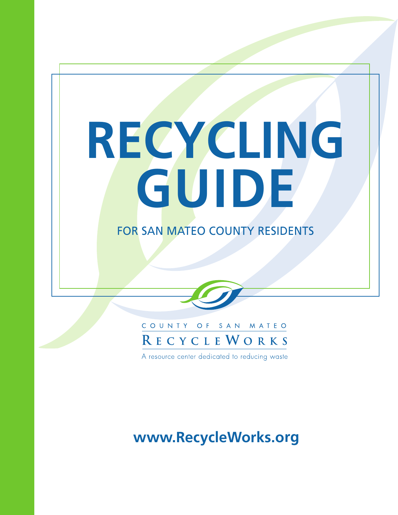# **RECYCLING GUIDE**

# FOR SAN MATEO COUNTY RESIDENTS



A resource center dedicated to reducing waste

# **www.RecycleWorks.org**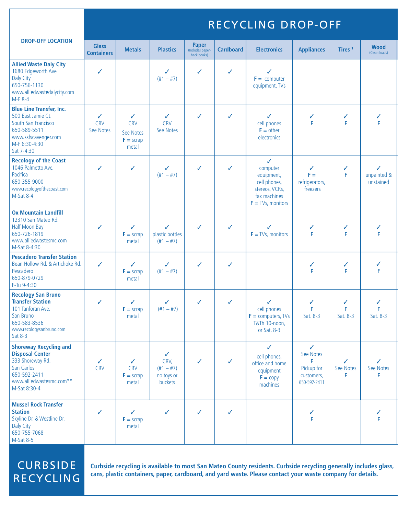|                                                                                                                                                       | RECYCLING DROP-OFF                      |                                                      |                                                   |                                                 |                  |                                                                                                                  |                                                                            |                     |                               |  |  |  |
|-------------------------------------------------------------------------------------------------------------------------------------------------------|-----------------------------------------|------------------------------------------------------|---------------------------------------------------|-------------------------------------------------|------------------|------------------------------------------------------------------------------------------------------------------|----------------------------------------------------------------------------|---------------------|-------------------------------|--|--|--|
| <b>DROP-OFF LOCATION</b>                                                                                                                              | <b>Glass</b><br><b>Containers</b>       | <b>Metals</b>                                        | <b>Plastics</b>                                   | <b>Paper</b><br>(Includes paper-<br>back books) | <b>Cardboard</b> | <b>Electronics</b>                                                                                               | <b>Appliances</b>                                                          | Tires <sup>1</sup>  | <b>Wood</b><br>(Clean loads)  |  |  |  |
| <b>Allied Waste Daly City</b><br>1680 Edgeworth Ave.<br>Daly City<br>650-756-1130<br>www.alliedwastedalycity.com<br>M-F 8-4                           | ✓                                       |                                                      | ✓<br>$(\#1 - \#7)$                                | ✓                                               | ✓                | ✓<br>$F =$ computer<br>equipment, TVs                                                                            |                                                                            |                     |                               |  |  |  |
| <b>Blue Line Transfer, Inc.</b><br>500 East Jamie Ct.<br>South San Francisco<br>650-589-5511<br>www.ssfscavenger.com<br>M-F 6:30-4:30<br>Sat 7-4:30   | $\checkmark$<br><b>CRV</b><br>See Notes | ✓<br><b>CRV</b><br>See Notes<br>$F =$ scrap<br>metal | ✓<br><b>CRV</b><br>See Notes                      | ✓                                               | ✓                | ✓<br>cell phones<br>$F = other$<br>electronics                                                                   | ✓<br>F                                                                     | ✓<br>F              | ✓<br>F                        |  |  |  |
| <b>Recology of the Coast</b><br>1046 Palmetto Ave.<br>Pacifica<br>650-355-9000<br>www.recologyofthecoast.com<br>M-Sat 8-4                             | ✓                                       | ✓                                                    | ✓<br>$(\#1 - \#7)$                                | ✓                                               | ✓                | $\checkmark$<br>computer<br>equipment,<br>cell phones,<br>stereos, VCRs,<br>fax machines<br>$F = TVs$ , monitors | $\checkmark$<br>$F =$<br>refrigerators,<br>freezers                        | ✓<br>F              | ✓<br>unpainted &<br>unstained |  |  |  |
| <b>Ox Mountain Landfill</b><br>12310 San Mateo Rd.<br>Half Moon Bay<br>650-726-1819<br>www.alliedwastesmc.com<br>M-Sat 8-4:30                         | ✓                                       | ✓<br>$F =$ scrap<br>metal                            | ✓<br>plastic bottles<br>$(\#1 - \#7)$             | ✓                                               | ✓                | ✓<br>$F = TVs$ , monitors                                                                                        | ✓<br>F                                                                     | ✓<br>F              | F                             |  |  |  |
| <b>Pescadero Transfer Station</b><br>Bean Hollow Rd. & Artichoke Rd.<br>Pescadero<br>650-879-0729<br>F-Tu 9-4:30                                      | $\checkmark$                            | ✓<br>$F =$ scrap<br>metal                            | ✓<br>$(\#1 - \#7)$                                | ✓                                               | ✓                |                                                                                                                  | ✓<br>F                                                                     | ✓<br>F              | ✓<br>F                        |  |  |  |
| <b>Recology San Bruno</b><br><b>Transfer Station</b><br>101 Tanforan Ave.<br>San Bruno<br>650-583-8536<br>www.recologysanbruno.com<br>Sat 8-3         | ✓                                       | ✓<br>$F =$ scrap<br>metal                            | ✓<br>$(\#1 - \#7)$                                | ✓                                               | ✓                | ✓<br>cell phones<br>$F =$ computers, TVs<br>T&Th 10-noon,<br>or Sat. 8-3                                         | F<br>Sat. 8-3                                                              | ✓<br>F<br>Sat. 8-3  | ✓<br>F<br>Sat. 8-3            |  |  |  |
| <b>Shoreway Recycling and</b><br><b>Disposal Center</b><br>333 Shoreway Rd.<br>San Carlos<br>650-592-2411<br>www.alliedwastesmc.com**<br>M-Sat 8:30-4 | ✓<br><b>CRV</b>                         | ✓<br><b>CRV</b><br>$F =$ scrap<br>metal              | ✓<br>CRV,<br>$(+1 - #7)$<br>no toys or<br>buckets | ✓                                               | ✓                | $\checkmark$<br>cell phones,<br>office and home<br>equipment<br>$F = copy$<br>machines                           | $\checkmark$<br>See Notes<br>F<br>Pickup for<br>customers,<br>650-592-2411 | ✓<br>See Notes<br>F | ✓<br>See Notes<br>F.          |  |  |  |
| <b>Mussel Rock Transfer</b><br><b>Station</b><br>Skyline Dr. & Westline Dr.<br>Daly City<br>650-755-7068                                              | $\checkmark$                            | ✓<br>$F =$ scrap<br>metal                            | ✓                                                 | ✓                                               | ✓                |                                                                                                                  | ✓<br>F                                                                     |                     | ✓<br>F                        |  |  |  |

# **CURBSIDE** RECYCLING

M-Sat 8-5

**Curbside recycling is available to most San Mateo County residents. Curbside recycling generally includes glass, cans, plastic containers, paper, cardboard, and yard waste. Please contact your waste company for details.**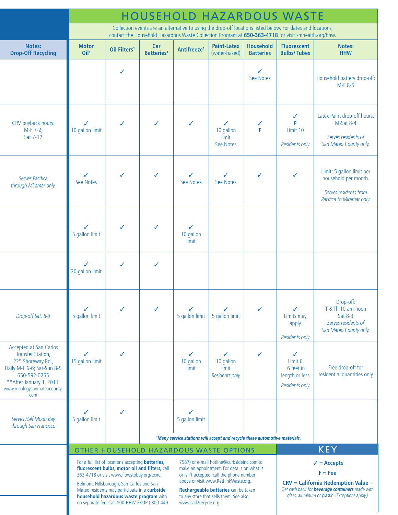|                                                                                                                                                                                   | <b>HOUSEHOLD HAZARDOUS WASTE</b>                                                                                                                                                                                   |                                                                                                                                                                                                                                                                                                                                                    |                                                                                                                                                                                          |                         |                                                  |                                      |                                                               |                                                                                                         |  |  |  |
|-----------------------------------------------------------------------------------------------------------------------------------------------------------------------------------|--------------------------------------------------------------------------------------------------------------------------------------------------------------------------------------------------------------------|----------------------------------------------------------------------------------------------------------------------------------------------------------------------------------------------------------------------------------------------------------------------------------------------------------------------------------------------------|------------------------------------------------------------------------------------------------------------------------------------------------------------------------------------------|-------------------------|--------------------------------------------------|--------------------------------------|---------------------------------------------------------------|---------------------------------------------------------------------------------------------------------|--|--|--|
|                                                                                                                                                                                   | Collection events are an alternative to using the drop-off locations listed below. For dates and locations,<br>contact the Household Hazardous Waste Collection Program at 650-363-4718 or visit smhealth.org/hhw. |                                                                                                                                                                                                                                                                                                                                                    |                                                                                                                                                                                          |                         |                                                  |                                      |                                                               |                                                                                                         |  |  |  |
| Notes:<br><b>Drop-Off Recycling</b>                                                                                                                                               | <b>Motor</b><br>Oil <sup>1</sup>                                                                                                                                                                                   | Oil Filters <sup>1</sup>                                                                                                                                                                                                                                                                                                                           | Car<br><b>Batteries<sup>1</sup></b>                                                                                                                                                      | Antifreeze <sup>1</sup> | <b>Paint-Latex</b><br>(water-based)              | <b>Household</b><br><b>Batteries</b> | <b>Fluorescent</b><br><b>Bulbs/Tubes</b>                      | Notes:<br><b>HHW</b>                                                                                    |  |  |  |
|                                                                                                                                                                                   |                                                                                                                                                                                                                    | ✓                                                                                                                                                                                                                                                                                                                                                  |                                                                                                                                                                                          |                         |                                                  | J<br>See Notes                       |                                                               | Household battery drop-off:<br>M-F 8-5                                                                  |  |  |  |
| CRV buyback hours:<br>$M-F 7-2;$<br>Sat 7-12                                                                                                                                      | ✓<br>10 gallon limit                                                                                                                                                                                               | $\checkmark$                                                                                                                                                                                                                                                                                                                                       | ✓                                                                                                                                                                                        | ✓                       | ✓<br>10 gallon<br>limit<br>See Notes             | ✓<br>F                               | ✓<br>F<br>Limit 10<br><b>Residents only</b>                   | Latex Paint drop-off hours:<br>M-Sat 8-4<br>Serves residents of<br>San Mateo County only.               |  |  |  |
| Serves Pacifica<br>through Miramar only.                                                                                                                                          | See Notes                                                                                                                                                                                                          | ✓                                                                                                                                                                                                                                                                                                                                                  |                                                                                                                                                                                          | See Notes               | ✓<br>See Notes                                   | ✓                                    | ✓                                                             | Limit: 5 gallon limit per<br>household per month.<br>Serves residents from<br>Pacifica to Miramar only. |  |  |  |
|                                                                                                                                                                                   | 5 gallon limit                                                                                                                                                                                                     | ✓                                                                                                                                                                                                                                                                                                                                                  |                                                                                                                                                                                          | ✓<br>10 gallon<br>limit |                                                  |                                      |                                                               |                                                                                                         |  |  |  |
|                                                                                                                                                                                   | 20 gallon limit                                                                                                                                                                                                    | ✓                                                                                                                                                                                                                                                                                                                                                  | J                                                                                                                                                                                        |                         |                                                  |                                      |                                                               |                                                                                                         |  |  |  |
| Drop-off Sat. 8-3                                                                                                                                                                 | 5 gallon limit                                                                                                                                                                                                     |                                                                                                                                                                                                                                                                                                                                                    |                                                                                                                                                                                          | 5 gallon limit          | 5 gallon limit                                   |                                      | ✓<br>Limits may<br>apply<br><b>Residents only</b>             | Drop-off:<br>T & Th 10 am-noon<br>Sat 8-3<br>Serves residents of<br>San Mateo County only.              |  |  |  |
| Accepted at San Carlos<br>Transfer Station,<br>225 Shoreway Rd.,<br>Daily M-F 6-6; Sat-Sun 8-5<br>650-592-0255<br>** After January 1, 2011:<br>www.recologysanmateocounty.<br>com | 15 gallon limit                                                                                                                                                                                                    | ✓                                                                                                                                                                                                                                                                                                                                                  |                                                                                                                                                                                          | ✓<br>10 gallon<br>limit | ✓<br>10 gallon<br>limit<br><b>Residents only</b> |                                      | ✓<br>Limit 6<br>6 feet in<br>length or less<br>Residents only | Free drop-off for<br>residential quantities only                                                        |  |  |  |
| Serves Half Moon Bay<br>through San Francisco                                                                                                                                     | 5 gallon limit                                                                                                                                                                                                     |                                                                                                                                                                                                                                                                                                                                                    |                                                                                                                                                                                          | 5 gallon limit          |                                                  |                                      |                                                               |                                                                                                         |  |  |  |
|                                                                                                                                                                                   | <sup>1</sup> Many service stations will accept and recycle these automotive materials.<br><b>KEY</b><br>OTHER HOUSEHOLD HAZARDOUS WASTE OPTIONS                                                                    |                                                                                                                                                                                                                                                                                                                                                    |                                                                                                                                                                                          |                         |                                                  |                                      |                                                               |                                                                                                         |  |  |  |
|                                                                                                                                                                                   |                                                                                                                                                                                                                    | For a full list of locations accepting <b>batteries</b> ,<br>fluorescent bulbs, motor oil and filters, call<br>363-4718 or visit www.flowstobay.org/toxic.<br>Belmont, Hillsborough, San Carlos and San<br>Mateo residents may participate in a curbside<br>household hazardous waste program with<br>no separate fee. Call 800-HHW-PKUP (800-449- | $\checkmark$ = Accepts<br>$F = Fee$<br>$CRV = California Reduction Value -$<br>Get cash back for <b>beverage containers</b> made with<br>glass, aluminum or plastic. (Exceptions apply.) |                         |                                                  |                                      |                                                               |                                                                                                         |  |  |  |